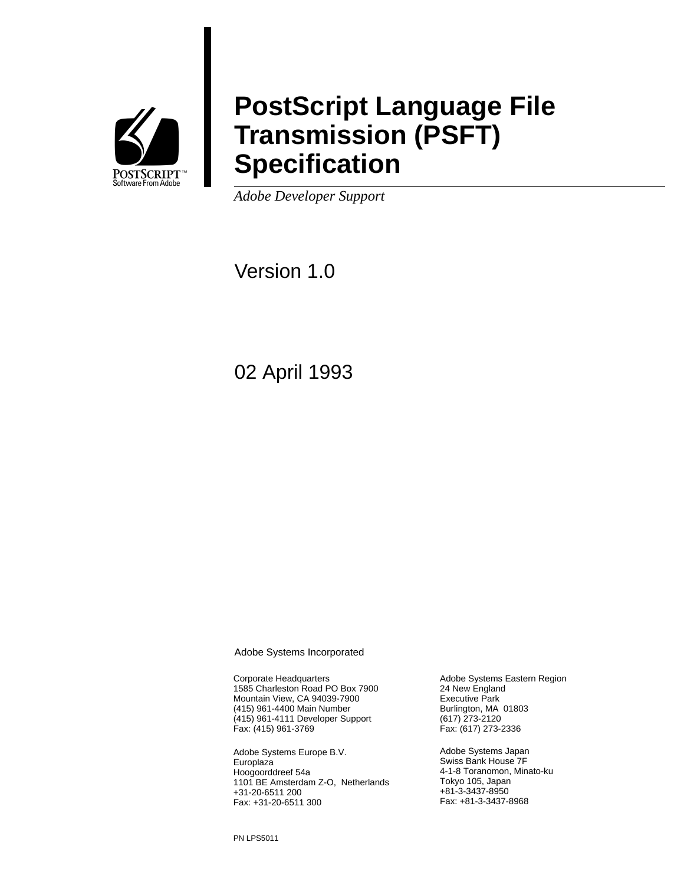

# **PostScript Language File Transmission (PSFT) Specification**

*Adobe Developer Support*

Version 1.0

02 April 1993

Adobe Systems Incorporated

Corporate Headquarters 1585 Charleston Road PO Box 7900 Mountain View, CA 94039-7900 (415) 961-4400 Main Number (415) 961-4111 Developer Support Fax: (415) 961-3769

Adobe Systems Europe B.V. Europlaza Hoogoorddreef 54a 1101 BE Amsterdam Z-O, Netherlands +31-20-6511 200 Fax: +31-20-6511 300

Adobe Systems Eastern Region 24 New England Executive Park Burlington, MA 01803 (617) 273-2120 Fax: (617) 273-2336

Adobe Systems Japan Swiss Bank House 7F 4-1-8 Toranomon, Minato-ku Tokyo 105, Japan +81-3-3437-8950 Fax: +81-3-3437-8968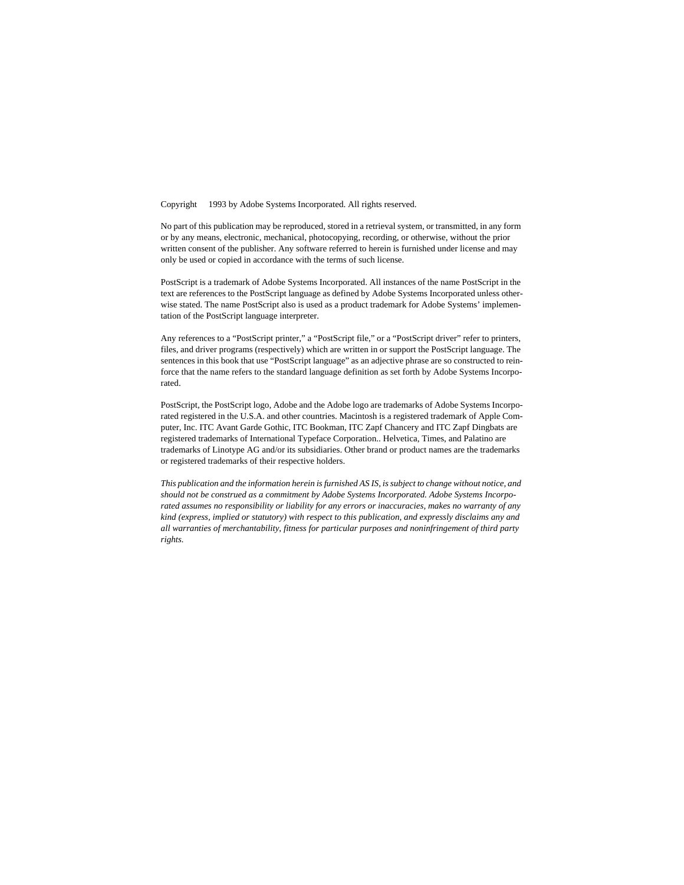Copyright © 1993 by Adobe Systems Incorporated. All rights reserved.

No part of this publication may be reproduced, stored in a retrieval system, or transmitted, in any form or by any means, electronic, mechanical, photocopying, recording, or otherwise, without the prior written consent of the publisher. Any software referred to herein is furnished under license and may only be used or copied in accordance with the terms of such license.

PostScript is a trademark of Adobe Systems Incorporated. All instances of the name PostScript in the text are references to the PostScript language as defined by Adobe Systems Incorporated unless otherwise stated. The name PostScript also is used as a product trademark for Adobe Systems' implementation of the PostScript language interpreter.

Any references to a "PostScript printer," a "PostScript file," or a "PostScript driver" refer to printers, files, and driver programs (respectively) which are written in or support the PostScript language. The sentences in this book that use "PostScript language" as an adjective phrase are so constructed to reinforce that the name refers to the standard language definition as set forth by Adobe Systems Incorporated.

PostScript, the PostScript logo, Adobe and the Adobe logo are trademarks of Adobe Systems Incorporated registered in the U.S.A. and other countries. Macintosh is a registered trademark of Apple Computer, Inc. ITC Avant Garde Gothic, ITC Bookman, ITC Zapf Chancery and ITC Zapf Dingbats are registered trademarks of International Typeface Corporation.. Helvetica, Times, and Palatino are trademarks of Linotype AG and/or its subsidiaries. Other brand or product names are the trademarks or registered trademarks of their respective holders.

*This publication and the information herein is furnished AS IS, is subject to change without notice, and should not be construed as a commitment by Adobe Systems Incorporated. Adobe Systems Incorporated assumes no responsibility or liability for any errors or inaccuracies, makes no warranty of any kind (express, implied or statutory) with respect to this publication, and expressly disclaims any and all warranties of merchantability, fitness for particular purposes and noninfringement of third party rights.*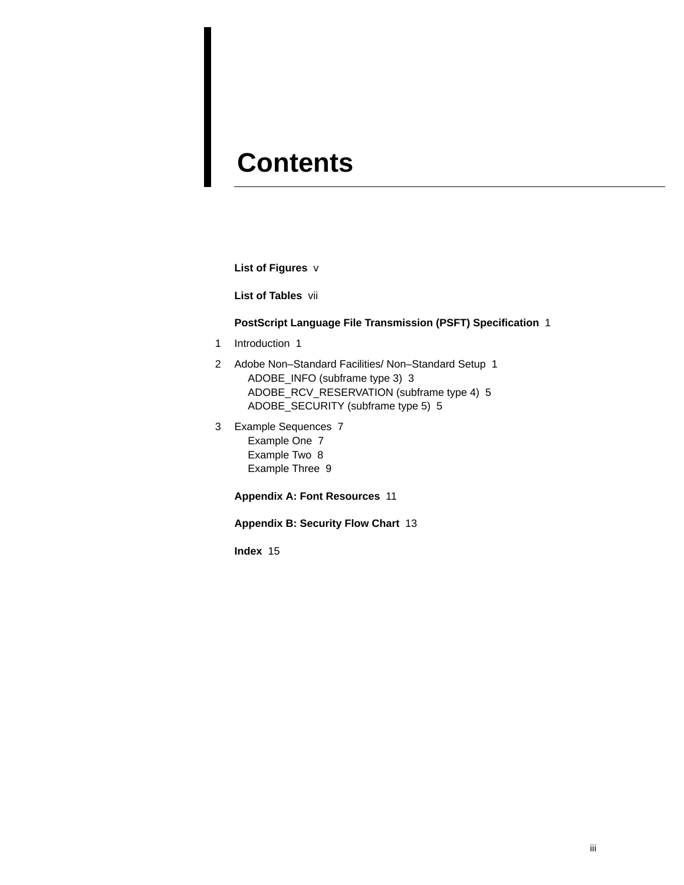# **Contents**

**List of Figures** v

**List of Tables** vii

#### **PostScript Language File Transmission (PSFT) Specification** 1

- 1 Introduction 1
- 2 Adobe Non–Standard Facilities/ Non–Standard Setup 1 ADOBE\_INFO (subframe type 3) 3 ADOBE\_RCV\_RESERVATION (subframe type 4) 5 ADOBE\_SECURITY (subframe type 5) 5
- 3 Example Sequences 7 Example One 7 Example Two 8 Example Three 9

**Appendix A: Font Resources** 11

**Appendix B: Security Flow Chart** 13

**Index** 15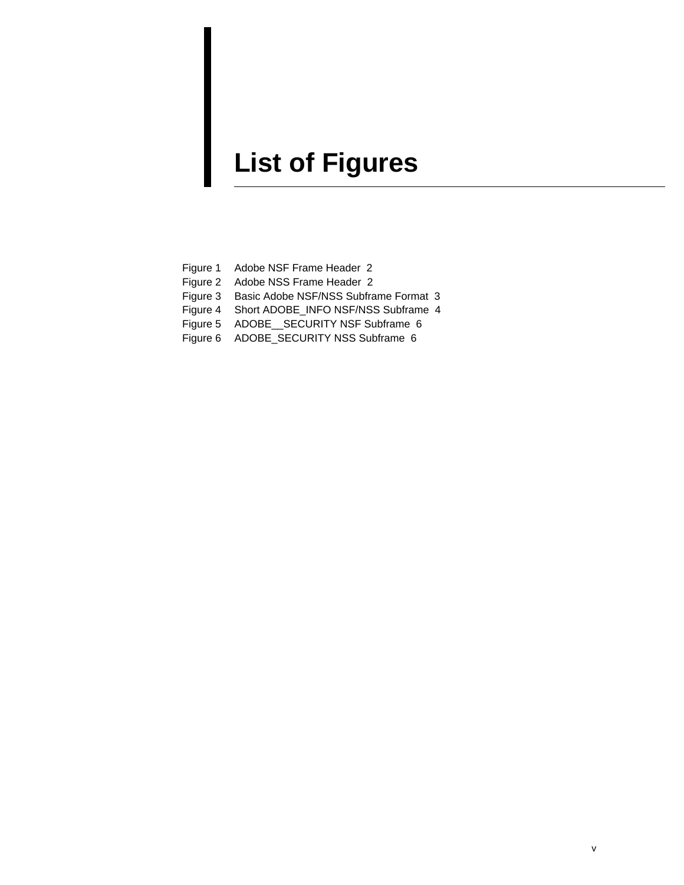# **List of Figures**

- Figure 1 Adobe NSF Frame Header 2
- Figure 2 Adobe NSS Frame Header 2
- Figure 3 Basic Adobe NSF/NSS Subframe Format 3
- Figure 4 Short ADOBE\_INFO NSF/NSS Subframe 4
- Figure 5 ADOBE\_\_SECURITY NSF Subframe 6
- Figure 6 ADOBE\_SECURITY NSS Subframe 6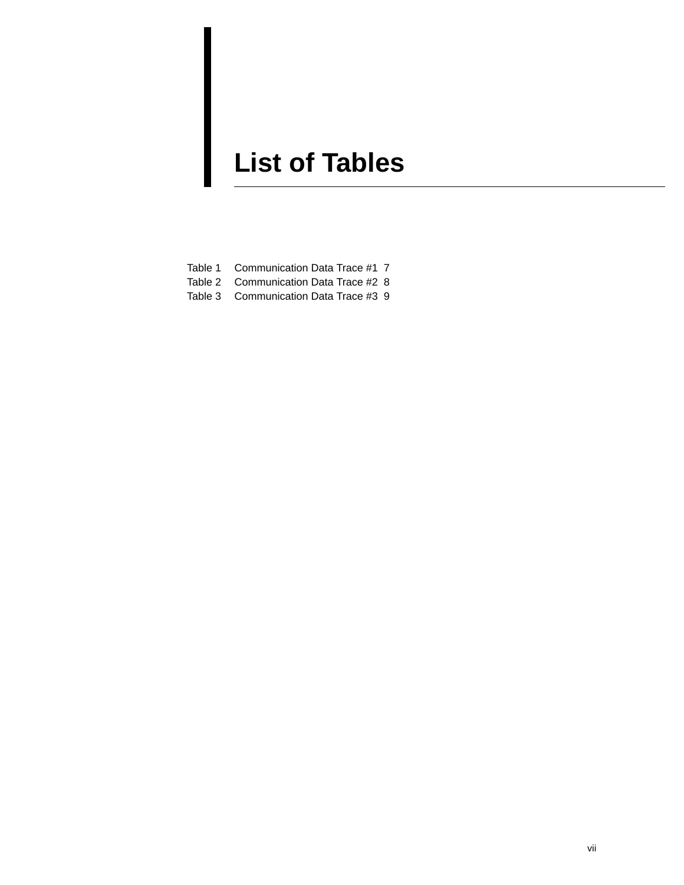# **List of Tables**

- Table 1 Communication Data Trace #1 7
- Table 2 Communication Data Trace #2 8
- Table 3 Communication Data Trace #3 9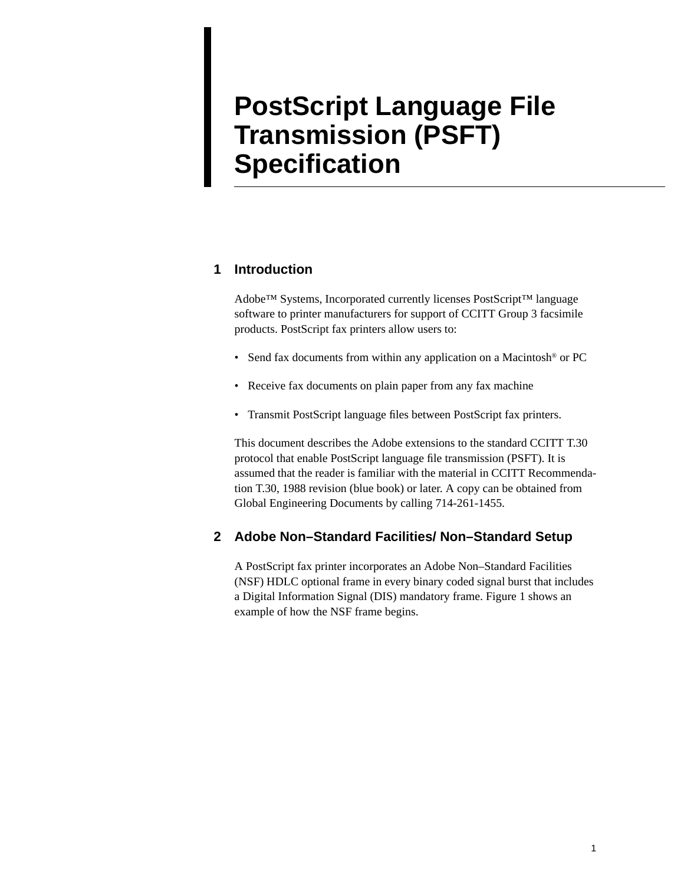# **PostScript Language File Transmission (PSFT) Specification**

### **1 Introduction**

Adobe™ Systems, Incorporated currently licenses PostScript™ language software to printer manufacturers for support of CCITT Group 3 facsimile products. PostScript fax printers allow users to:

- Send fax documents from within any application on a Macintosh<sup>®</sup> or PC
- Receive fax documents on plain paper from any fax machine
- Transmit PostScript language files between PostScript fax printers.

This document describes the Adobe extensions to the standard CCITT T.30 protocol that enable PostScript language file transmission (PSFT). It is assumed that the reader is familiar with the material in CCITT Recommendation T.30, 1988 revision (blue book) or later. A copy can be obtained from Global Engineering Documents by calling 714-261-1455.

### **2 Adobe Non–Standard Facilities/ Non–Standard Setup**

A PostScript fax printer incorporates an Adobe Non–Standard Facilities (NSF) HDLC optional frame in every binary coded signal burst that includes a Digital Information Signal (DIS) mandatory frame. Figure 1 shows an example of how the NSF frame begins.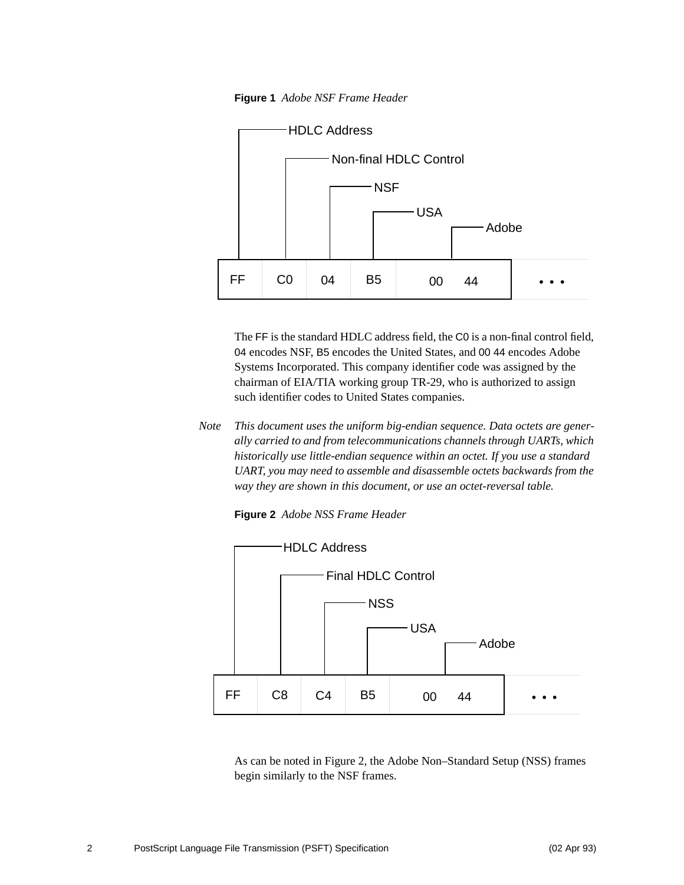

**Figure 1** *Adobe NSF Frame Header*

The FF is the standard HDLC address field, the C0 is a non-final control field, 04 encodes NSF, B5 encodes the United States, and 00 44 encodes Adobe Systems Incorporated. This company identifier code was assigned by the chairman of EIA/TIA working group TR-29, who is authorized to assign such identifier codes to United States companies.

*Note This document uses the uniform big-endian sequence. Data octets are generally carried to and from telecommunications channels through UARTs, which historically use little-endian sequence within an octet. If you use a standard UART, you may need to assemble and disassemble octets backwards from the way they are shown in this document, or use an octet-reversal table.*





As can be noted in Figure 2, the Adobe Non–Standard Setup (NSS) frames begin similarly to the NSF frames.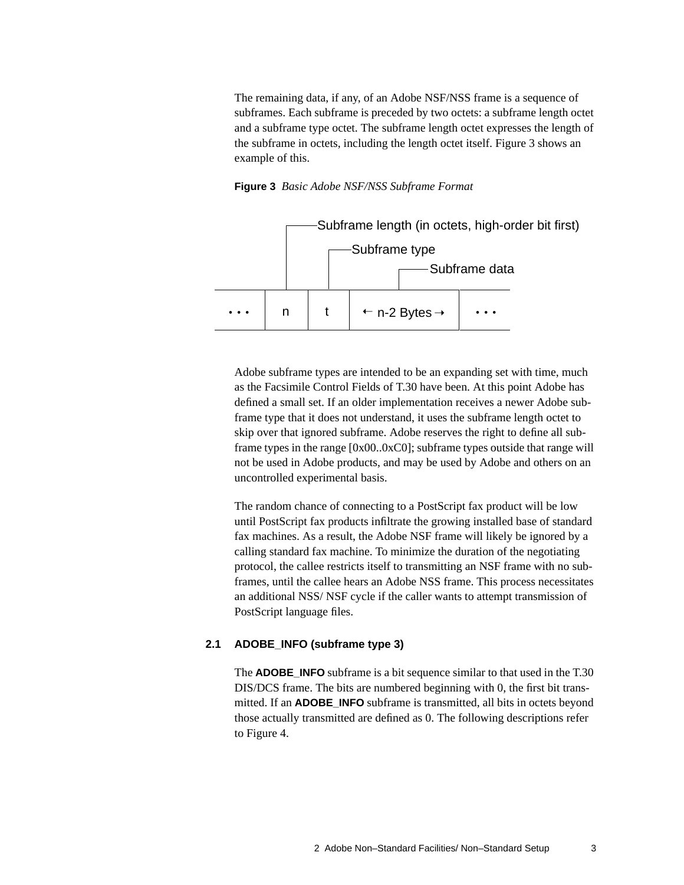The remaining data, if any, of an Adobe NSF/NSS frame is a sequence of subframes. Each subframe is preceded by two octets: a subframe length octet and a subframe type octet. The subframe length octet expresses the length of the subframe in octets, including the length octet itself. Figure 3 shows an example of this.





Adobe subframe types are intended to be an expanding set with time, much as the Facsimile Control Fields of T.30 have been. At this point Adobe has defined a small set. If an older implementation receives a newer Adobe subframe type that it does not understand, it uses the subframe length octet to skip over that ignored subframe. Adobe reserves the right to define all subframe types in the range [0x00..0xC0]; subframe types outside that range will not be used in Adobe products, and may be used by Adobe and others on an uncontrolled experimental basis.

The random chance of connecting to a PostScript fax product will be low until PostScript fax products infiltrate the growing installed base of standard fax machines. As a result, the Adobe NSF frame will likely be ignored by a calling standard fax machine. To minimize the duration of the negotiating protocol, the callee restricts itself to transmitting an NSF frame with no subframes, until the callee hears an Adobe NSS frame. This process necessitates an additional NSS/ NSF cycle if the caller wants to attempt transmission of PostScript language files.

### **2.1 ADOBE\_INFO (subframe type 3)**

The **ADOBE** INFO subframe is a bit sequence similar to that used in the T.30 DIS/DCS frame. The bits are numbered beginning with 0, the first bit transmitted. If an **ADOBE** INFO subframe is transmitted, all bits in octets beyond those actually transmitted are defined as 0. The following descriptions refer to Figure 4.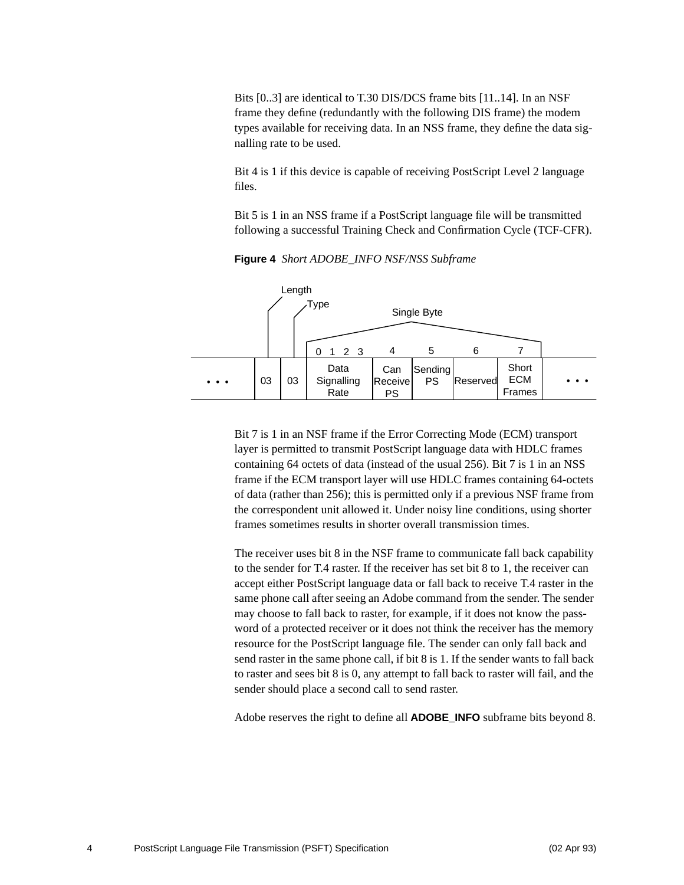Bits [0..3] are identical to T.30 DIS/DCS frame bits [11..14]. In an NSF frame they define (redundantly with the following DIS frame) the modem types available for receiving data. In an NSS frame, they define the data signalling rate to be used.

Bit 4 is 1 if this device is capable of receiving PostScript Level 2 language files.

Bit 5 is 1 in an NSS frame if a PostScript language file will be transmitted following a successful Training Check and Confirmation Cycle (TCF-CFR).



**Figure 4** *Short ADOBE\_INFO NSF/NSS Subframe*

Bit 7 is 1 in an NSF frame if the Error Correcting Mode (ECM) transport layer is permitted to transmit PostScript language data with HDLC frames containing 64 octets of data (instead of the usual 256). Bit 7 is 1 in an NSS frame if the ECM transport layer will use HDLC frames containing 64-octets of data (rather than 256); this is permitted only if a previous NSF frame from the correspondent unit allowed it. Under noisy line conditions, using shorter frames sometimes results in shorter overall transmission times.

The receiver uses bit 8 in the NSF frame to communicate fall back capability to the sender for T.4 raster. If the receiver has set bit 8 to 1, the receiver can accept either PostScript language data or fall back to receive T.4 raster in the same phone call after seeing an Adobe command from the sender. The sender may choose to fall back to raster, for example, if it does not know the password of a protected receiver or it does not think the receiver has the memory resource for the PostScript language file. The sender can only fall back and send raster in the same phone call, if bit 8 is 1. If the sender wants to fall back to raster and sees bit 8 is 0, any attempt to fall back to raster will fail, and the sender should place a second call to send raster.

Adobe reserves the right to define all **ADOBE\_INFO** subframe bits beyond 8.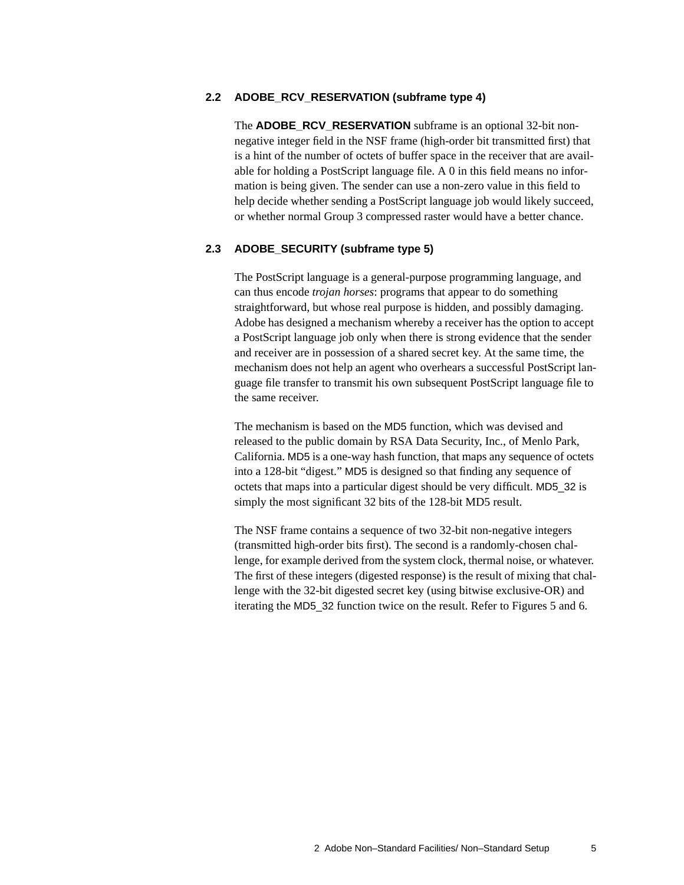#### **2.2 ADOBE\_RCV\_RESERVATION (subframe type 4)**

The **ADOBE\_RCV\_RESERVATION** subframe is an optional 32-bit nonnegative integer field in the NSF frame (high-order bit transmitted first) that is a hint of the number of octets of buffer space in the receiver that are available for holding a PostScript language file. A 0 in this field means no information is being given. The sender can use a non-zero value in this field to help decide whether sending a PostScript language job would likely succeed, or whether normal Group 3 compressed raster would have a better chance.

#### **2.3 ADOBE\_SECURITY (subframe type 5)**

The PostScript language is a general-purpose programming language, and can thus encode *trojan horses*: programs that appear to do something straightforward, but whose real purpose is hidden, and possibly damaging. Adobe has designed a mechanism whereby a receiver has the option to accept a PostScript language job only when there is strong evidence that the sender and receiver are in possession of a shared secret key. At the same time, the mechanism does not help an agent who overhears a successful PostScript language file transfer to transmit his own subsequent PostScript language file to the same receiver.

The mechanism is based on the MD5 function, which was devised and released to the public domain by RSA Data Security, Inc., of Menlo Park, California. MD5 is a one-way hash function, that maps any sequence of octets into a 128-bit "digest." MD5 is designed so that finding any sequence of octets that maps into a particular digest should be very difficult. MD5\_32 is simply the most significant 32 bits of the 128-bit MD5 result.

The NSF frame contains a sequence of two 32-bit non-negative integers (transmitted high-order bits first). The second is a randomly-chosen challenge, for example derived from the system clock, thermal noise, or whatever. The first of these integers (digested response) is the result of mixing that challenge with the 32-bit digested secret key (using bitwise exclusive-OR) and iterating the MD5\_32 function twice on the result. Refer to Figures 5 and 6.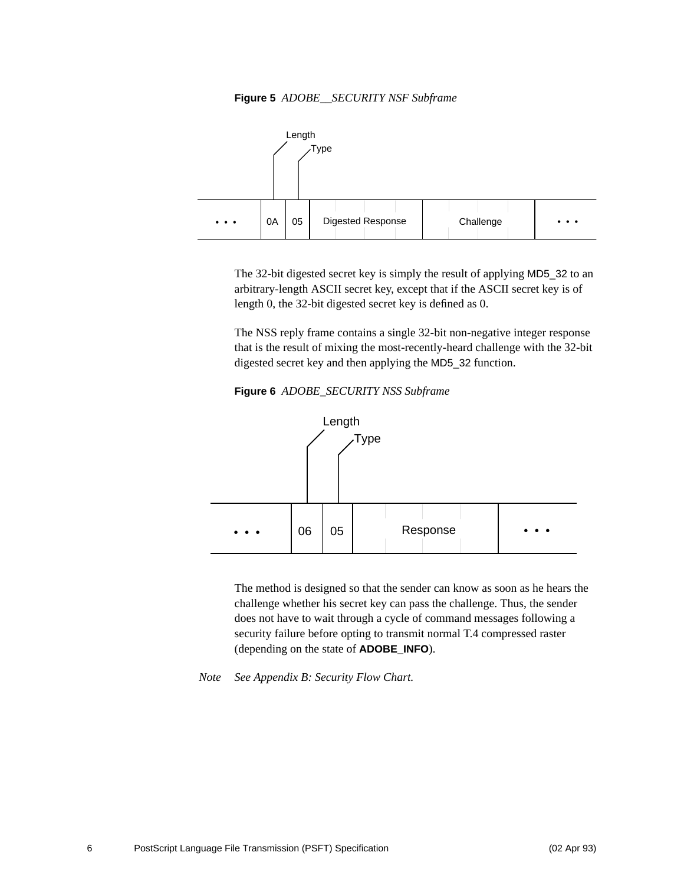



The 32-bit digested secret key is simply the result of applying MD5\_32 to an arbitrary-length ASCII secret key, except that if the ASCII secret key is of length 0, the 32-bit digested secret key is defined as 0.

The NSS reply frame contains a single 32-bit non-negative integer response that is the result of mixing the most-recently-heard challenge with the 32-bit digested secret key and then applying the MD5\_32 function.





The method is designed so that the sender can know as soon as he hears the challenge whether his secret key can pass the challenge. Thus, the sender does not have to wait through a cycle of command messages following a security failure before opting to transmit normal T.4 compressed raster (depending on the state of **ADOBE\_INFO**).

*Note See Appendix B: Security Flow Chart.*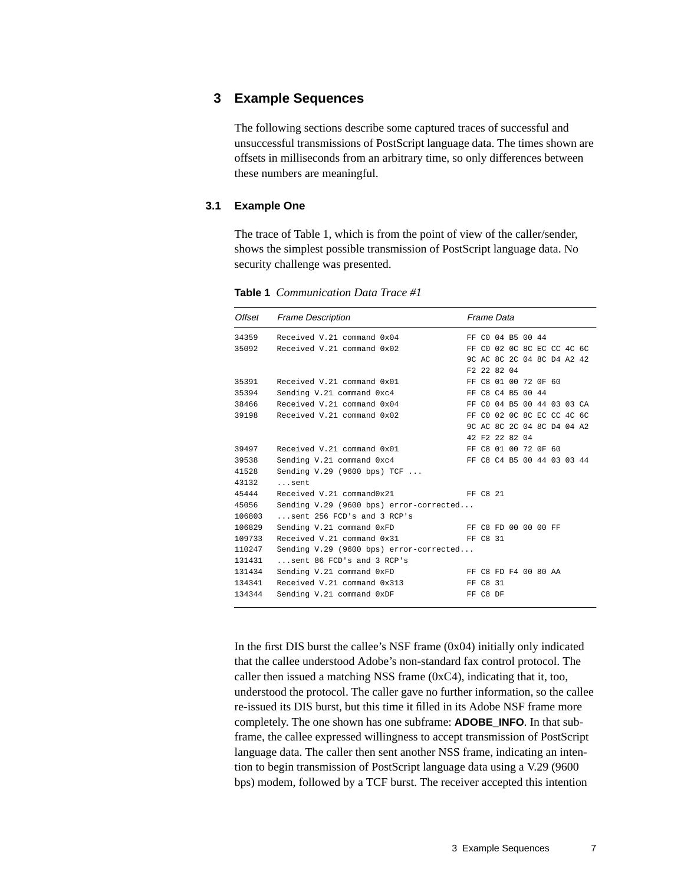#### **3 Example Sequences**

The following sections describe some captured traces of successful and unsuccessful transmissions of PostScript language data. The times shown are offsets in milliseconds from an arbitrary time, so only differences between these numbers are meaningful.

#### **3.1 Example One**

The trace of Table 1, which is from the point of view of the caller/sender, shows the simplest possible transmission of PostScript language data. No security challenge was presented.

| Offset | <b>Frame Description</b>                          | Frame Data |             |  |                            |  |  |  |  |  |
|--------|---------------------------------------------------|------------|-------------|--|----------------------------|--|--|--|--|--|
| 34359  | Received V.21 command 0x04                        |            |             |  | FF CO 04 B5 00 44          |  |  |  |  |  |
| 35092  | Received V.21 command 0x02                        |            |             |  | FF C0 02 0C 8C EC CC 4C 6C |  |  |  |  |  |
|        |                                                   |            |             |  | 9C AC 8C 2C 04 8C D4 A2 42 |  |  |  |  |  |
|        |                                                   |            | F2 22 82 04 |  |                            |  |  |  |  |  |
| 35391  | Received V.21 command 0x01                        |            |             |  | FF C8 01 00 72 0F 60       |  |  |  |  |  |
| 35394  | Sending V.21 command 0xc4                         |            |             |  | FF C8 C4 B5 00 44          |  |  |  |  |  |
| 38466  | Received V.21 command 0x04                        |            |             |  | FF C0 04 B5 00 44 03 03 CA |  |  |  |  |  |
| 39198  | Received V.21 command 0x02                        |            |             |  | FF C0 02 0C 8C EC CC 4C 6C |  |  |  |  |  |
|        |                                                   |            |             |  | 9C AC 8C 2C 04 8C D4 04 A2 |  |  |  |  |  |
|        |                                                   |            |             |  | 42 F2 22 82 04             |  |  |  |  |  |
| 39497  | Received V.21 command 0x01                        |            |             |  | FF C8 01 00 72 0F 60       |  |  |  |  |  |
| 39538  | Sending V.21 command 0xc4                         |            |             |  | FF C8 C4 B5 00 44 03 03 44 |  |  |  |  |  |
| 41528  | Sending V.29 (9600 bps) TCF                       |            |             |  |                            |  |  |  |  |  |
| 43132  | $\ldots$ sent                                     |            |             |  |                            |  |  |  |  |  |
| 45444  | Received V.21 command0x21                         |            | FF C8 21    |  |                            |  |  |  |  |  |
| 45056  | Sending V.29 (9600 bps) error-corrected           |            |             |  |                            |  |  |  |  |  |
| 106803 | $\ldots$ sent 256 FCD's and 3 RCP's               |            |             |  |                            |  |  |  |  |  |
| 106829 | FF C8 FD 00 00 00 FF<br>Sending V.21 command OxFD |            |             |  |                            |  |  |  |  |  |
| 109733 | Received V.21 command 0x31                        | FF C8 31   |             |  |                            |  |  |  |  |  |
| 110247 | Sending V.29 (9600 bps) error-corrected           |            |             |  |                            |  |  |  |  |  |
| 131431 | sent 86 FCD's and 3 RCP's                         |            |             |  |                            |  |  |  |  |  |
| 131434 | Sending V.21 command OxFD                         |            |             |  | FF C8 FD F4 00 80 AA       |  |  |  |  |  |
| 134341 | Received V.21 command 0x313                       |            | FF C8 31    |  |                            |  |  |  |  |  |
| 134344 | Sending V.21 command OxDF                         |            | FF C8 DF    |  |                            |  |  |  |  |  |

**Table 1** *Communication Data Trace #1*

In the first DIS burst the callee's NSF frame  $(0x04)$  initially only indicated that the callee understood Adobe's non-standard fax control protocol. The caller then issued a matching NSS frame (0xC4), indicating that it, too, understood the protocol. The caller gave no further information, so the callee re-issued its DIS burst, but this time it filled in its Adobe NSF frame more completely. The one shown has one subframe: **ADOBE\_INFO**. In that subframe, the callee expressed willingness to accept transmission of PostScript language data. The caller then sent another NSS frame, indicating an intention to begin transmission of PostScript language data using a V.29 (9600 bps) modem, followed by a TCF burst. The receiver accepted this intention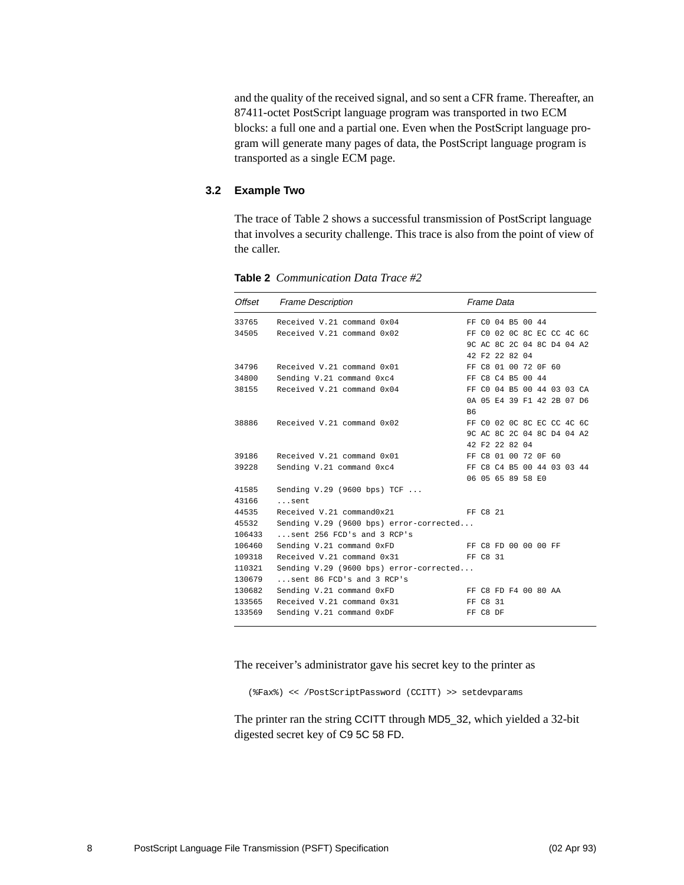and the quality of the received signal, and so sent a CFR frame. Thereafter, an 87411-octet PostScript language program was transported in two ECM blocks: a full one and a partial one. Even when the PostScript language program will generate many pages of data, the PostScript language program is transported as a single ECM page.

### **3.2 Example Two**

The trace of Table 2 shows a successful transmission of PostScript language that involves a security challenge. This trace is also from the point of view of the caller.

| Offset | <b>Frame Description</b>                | Frame Data     |          |  |  |                            |  |  |  |
|--------|-----------------------------------------|----------------|----------|--|--|----------------------------|--|--|--|
| 33765  | Received V 21 command 0x04              |                |          |  |  | FF C0 04 B5 00 44          |  |  |  |
| 34505  | Received V.21 command 0x02              |                |          |  |  | FF C0 02 0C 8C EC CC 4C 6C |  |  |  |
|        |                                         |                |          |  |  | 9C AC 8C 2C 04 8C D4 04 A2 |  |  |  |
|        |                                         |                |          |  |  | 42 F2 22 82 04             |  |  |  |
| 34796  | Received V.21 command 0x01              |                |          |  |  | FF C8 01 00 72 0F 60       |  |  |  |
| 34800  | Sending V.21 command 0xc4               |                |          |  |  | FF C8 C4 B5 00 44          |  |  |  |
| 38155  | Received V.21 command 0x04              |                |          |  |  | FF C0 04 B5 00 44 03 03 CA |  |  |  |
|        |                                         |                |          |  |  | 0A 05 E4 39 F1 42 2B 07 D6 |  |  |  |
|        |                                         | B <sub>6</sub> |          |  |  |                            |  |  |  |
|        | 38886 Received V.21 command 0x02        |                |          |  |  | FF C0 02 0C 8C EC CC 4C 6C |  |  |  |
|        |                                         |                |          |  |  | 9C AC 8C 2C 04 8C D4 04 A2 |  |  |  |
|        |                                         |                |          |  |  | 42 F2 22 82 04             |  |  |  |
| 39186  | Received V.21 command 0x01              |                |          |  |  | FF C8 01 00 72 0F 60       |  |  |  |
| 39228  | Sending V.21 command 0xc4               |                |          |  |  | FF C8 C4 B5 00 44 03 03 44 |  |  |  |
|        |                                         |                |          |  |  | 06 05 65 89 58 E0          |  |  |  |
| 41585  | Sending $V.29$ (9600 bps) TCF           |                |          |  |  |                            |  |  |  |
| 43166  | sent                                    |                |          |  |  |                            |  |  |  |
| 44535  | Received V.21 command0x21               |                | FF C8 21 |  |  |                            |  |  |  |
| 45532  | Sending V.29 (9600 bps) error-corrected |                |          |  |  |                            |  |  |  |
| 106433 | sent 256 FCD's and 3 RCP's              |                |          |  |  |                            |  |  |  |
| 106460 | Sending V.21 command OxFD               |                |          |  |  | FF C8 FD 00 00 00 FF       |  |  |  |
| 109318 | Received V.21 command 0x31              | FF C8 31       |          |  |  |                            |  |  |  |
| 110321 | Sending V.29 (9600 bps) error-corrected |                |          |  |  |                            |  |  |  |
| 130679 | sent 86 FCD's and 3 RCP's               |                |          |  |  |                            |  |  |  |
| 130682 | Sending V.21 command OxFD               |                |          |  |  | FF C8 FD F4 00 80 AA       |  |  |  |
| 133565 | Received V.21 command 0x31              |                | FF C8 31 |  |  |                            |  |  |  |
| 133569 | Sending V.21 command OxDF               |                | FF C8 DF |  |  |                            |  |  |  |

**Table 2** *Communication Data Trace #2*

The receiver's administrator gave his secret key to the printer as

(%Fax%) << /PostScriptPassword (CCITT) >> setdevparams

The printer ran the string CCITT through MD5\_32, which yielded a 32-bit digested secret key of C9 5C 58 FD.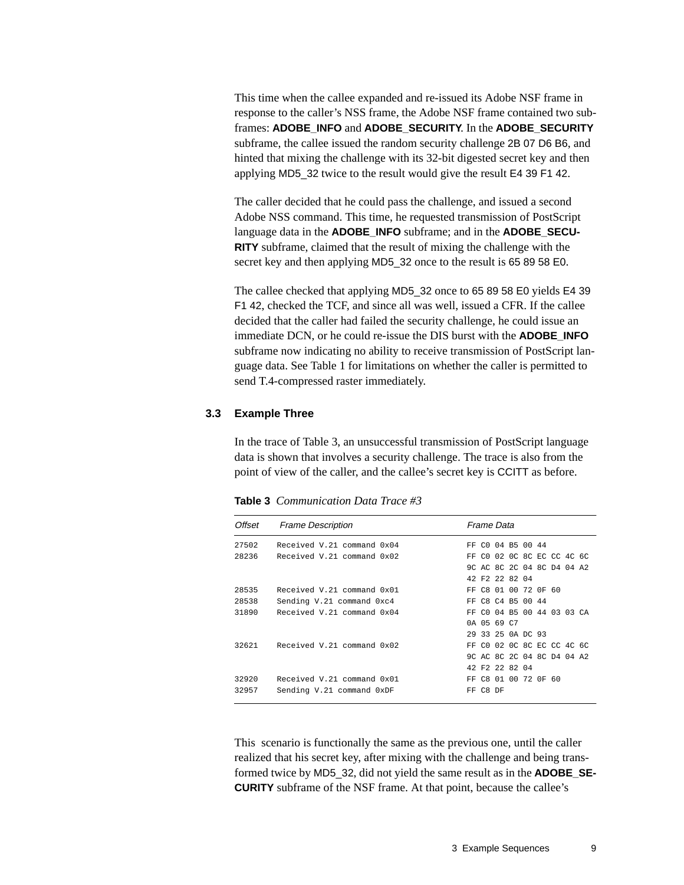This time when the callee expanded and re-issued its Adobe NSF frame in response to the caller's NSS frame, the Adobe NSF frame contained two subframes: **ADOBE\_INFO** and **ADOBE\_SECURITY**. In the **ADOBE\_SECURITY** subframe, the callee issued the random security challenge 2B 07 D6 B6, and hinted that mixing the challenge with its 32-bit digested secret key and then applying MD5\_32 twice to the result would give the result E4 39 F1 42.

The caller decided that he could pass the challenge, and issued a second Adobe NSS command. This time, he requested transmission of PostScript language data in the **ADOBE\_INFO** subframe; and in the **ADOBE\_SECU-RITY** subframe, claimed that the result of mixing the challenge with the secret key and then applying MD5\_32 once to the result is 65 89 58 E0.

The callee checked that applying MD5\_32 once to 65 89 58 E0 yields E4 39 F1 42, checked the TCF, and since all was well, issued a CFR. If the callee decided that the caller had failed the security challenge, he could issue an immediate DCN, or he could re-issue the DIS burst with the **ADOBE** INFO subframe now indicating no ability to receive transmission of PostScript language data. See Table 1 for limitations on whether the caller is permitted to send T.4-compressed raster immediately.

#### **3.3 Example Three**

In the trace of Table 3, an unsuccessful transmission of PostScript language data is shown that involves a security challenge. The trace is also from the point of view of the caller, and the callee's secret key is CCITT as before.

**Table 3** *Communication Data Trace #3*

| Offset | <b>Frame Description</b>             | Frame Data                 |  |  |  |  |  |  |
|--------|--------------------------------------|----------------------------|--|--|--|--|--|--|
| 27502  | Received V.21 command 0x04           | FF CO 04 B5 00 44          |  |  |  |  |  |  |
| 28236  | Received V.21 command 0x02           | FF C0 02 0C 8C EC CC 4C 6C |  |  |  |  |  |  |
|        |                                      | 9C AC 8C 2C 04 8C D4 04 A2 |  |  |  |  |  |  |
|        |                                      | 42 F2 22 82 04             |  |  |  |  |  |  |
| 28535  | Received V.21 command 0x01           | FF C8 01 00 72 0F 60       |  |  |  |  |  |  |
| 28538  | Sending V.21 command 0xc4            | FF C8 C4 B5 00 44          |  |  |  |  |  |  |
| 31890  | Received V.21 command 0x04           | FF CO 04 B5 00 44 03 03 CA |  |  |  |  |  |  |
|        |                                      | 0A 05 69 C7                |  |  |  |  |  |  |
|        |                                      | 29 33 25 0A DC 93          |  |  |  |  |  |  |
|        | $32621$ Received V.21 command $0x02$ | FF C0 02 0C 8C EC CC 4C 6C |  |  |  |  |  |  |
|        |                                      | 9C AC 8C 2C 04 8C D4 04 A2 |  |  |  |  |  |  |
|        |                                      | 42 F2 22 82 04             |  |  |  |  |  |  |
| 32920  | Received V.21 command 0x01           | FF C8 01 00 72 0F 60       |  |  |  |  |  |  |
| 32957  | Sending V.21 command OxDF            | FF C8 DF                   |  |  |  |  |  |  |

This scenario is functionally the same as the previous one, until the caller realized that his secret key, after mixing with the challenge and being transformed twice by MD5\_32, did not yield the same result as in the **ADOBE\_SE-CURITY** subframe of the NSF frame. At that point, because the callee's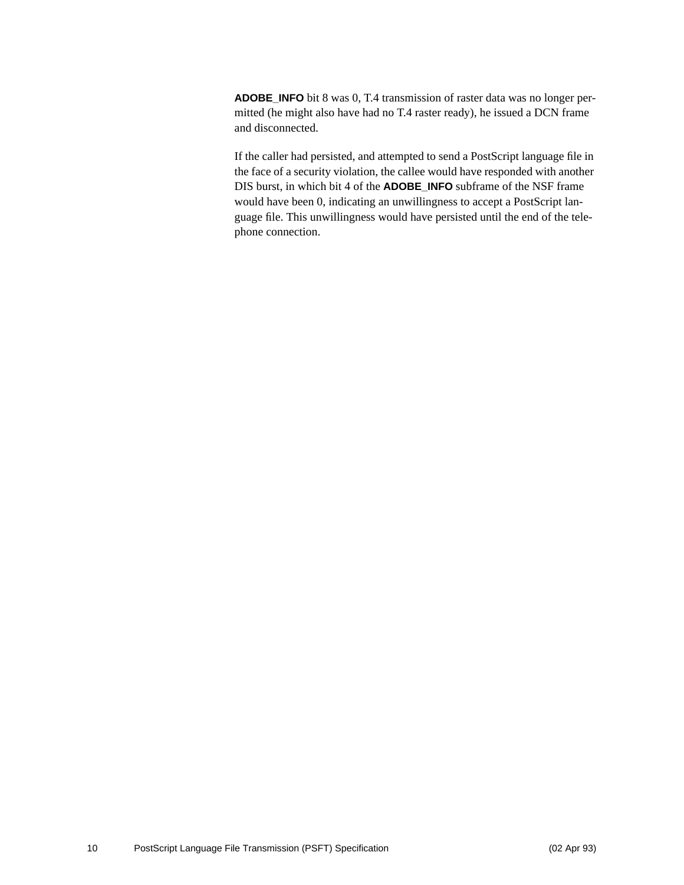**ADOBE\_INFO** bit 8 was 0, T.4 transmission of raster data was no longer permitted (he might also have had no T.4 raster ready), he issued a DCN frame and disconnected.

If the caller had persisted, and attempted to send a PostScript language file in the face of a security violation, the callee would have responded with another DIS burst, in which bit 4 of the **ADOBE\_INFO** subframe of the NSF frame would have been 0, indicating an unwillingness to accept a PostScript language file. This unwillingness would have persisted until the end of the telephone connection.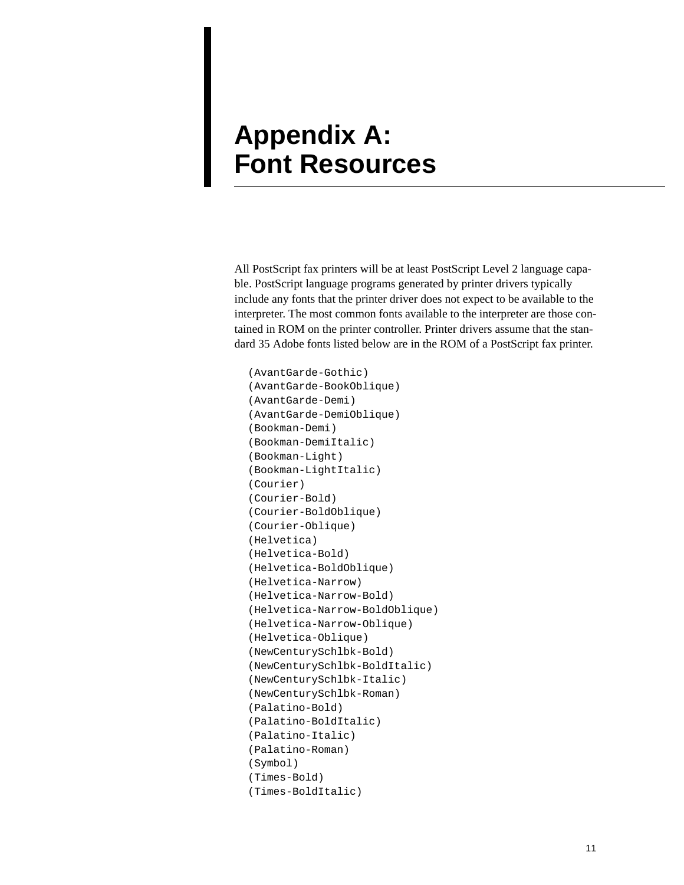# **Appendix A: Font Resources**

All PostScript fax printers will be at least PostScript Level 2 language capable. PostScript language programs generated by printer drivers typically include any fonts that the printer driver does not expect to be available to the interpreter. The most common fonts available to the interpreter are those contained in ROM on the printer controller. Printer drivers assume that the standard 35 Adobe fonts listed below are in the ROM of a PostScript fax printer.

```
(AvantGarde-Gothic)
(AvantGarde-BookOblique)
(AvantGarde-Demi)
(AvantGarde-DemiOblique)
(Bookman-Demi)
(Bookman-DemiItalic)
(Bookman-Light)
(Bookman-LightItalic)
(Courier)
(Courier-Bold)
(Courier-BoldOblique)
(Courier-Oblique)
(Helvetica)
(Helvetica-Bold)
(Helvetica-BoldOblique)
(Helvetica-Narrow)
(Helvetica-Narrow-Bold)
(Helvetica-Narrow-BoldOblique)
(Helvetica-Narrow-Oblique)
(Helvetica-Oblique)
(NewCenturySchlbk-Bold)
(NewCenturySchlbk-BoldItalic)
(NewCenturySchlbk-Italic)
(NewCenturySchlbk-Roman)
(Palatino-Bold)
(Palatino-BoldItalic)
(Palatino-Italic)
(Palatino-Roman)
(Symbol)
(Times-Bold)
(Times-BoldItalic)
```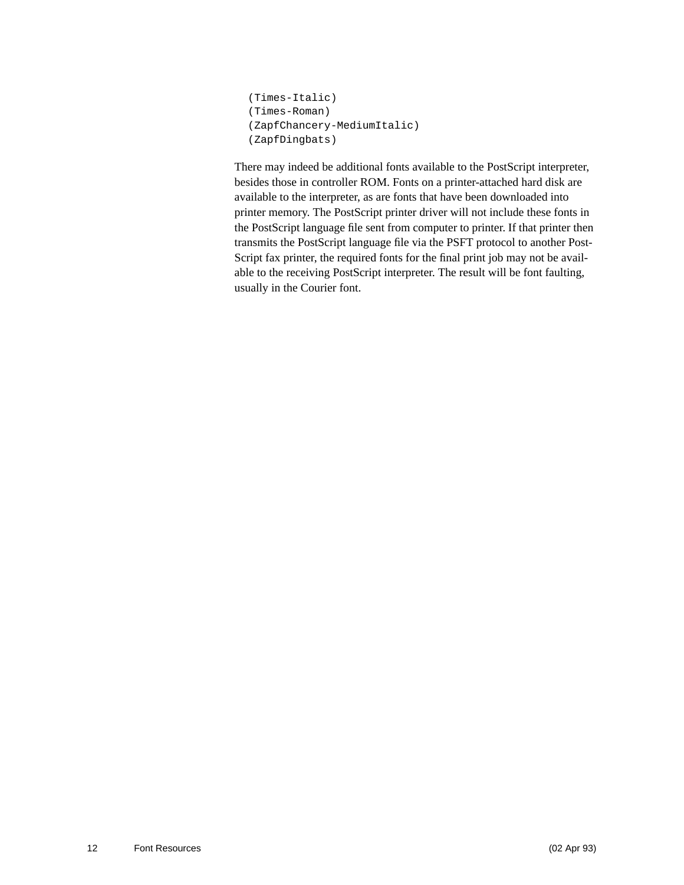```
(Times-Italic)
(Times-Roman)
(ZapfChancery-MediumItalic)
(ZapfDingbats)
```
There may indeed be additional fonts available to the PostScript interpreter, besides those in controller ROM. Fonts on a printer-attached hard disk are available to the interpreter, as are fonts that have been downloaded into printer memory. The PostScript printer driver will not include these fonts in the PostScript language file sent from computer to printer. If that printer then transmits the PostScript language file via the PSFT protocol to another Post-Script fax printer, the required fonts for the final print job may not be available to the receiving PostScript interpreter. The result will be font faulting, usually in the Courier font.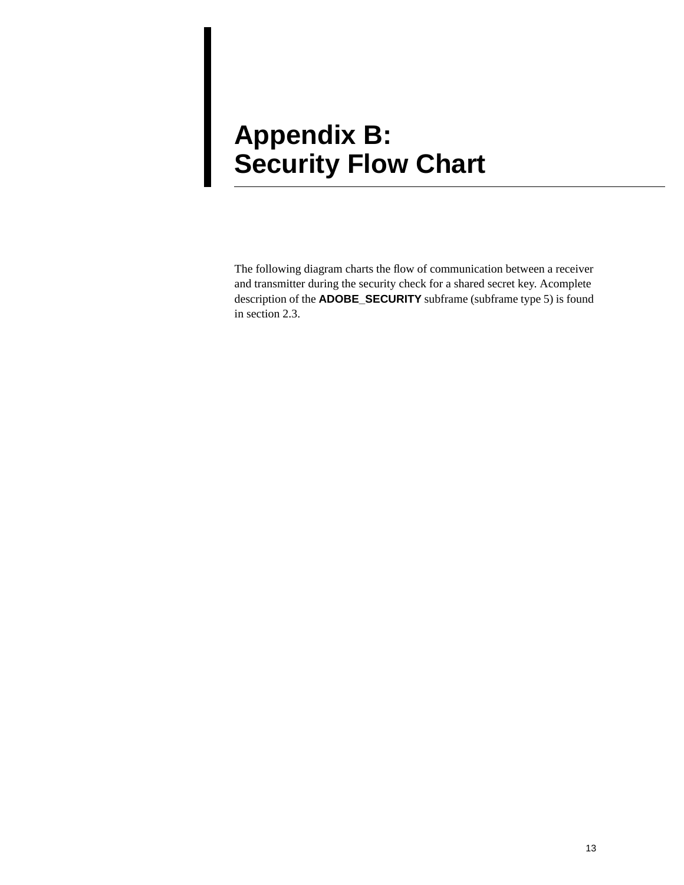# **Appendix B: Security Flow Chart**

The following diagram charts the flow of communication between a receiver and transmitter during the security check for a shared secret key. Acomplete description of the **ADOBE\_SECURITY** subframe (subframe type 5) is found in section 2.3.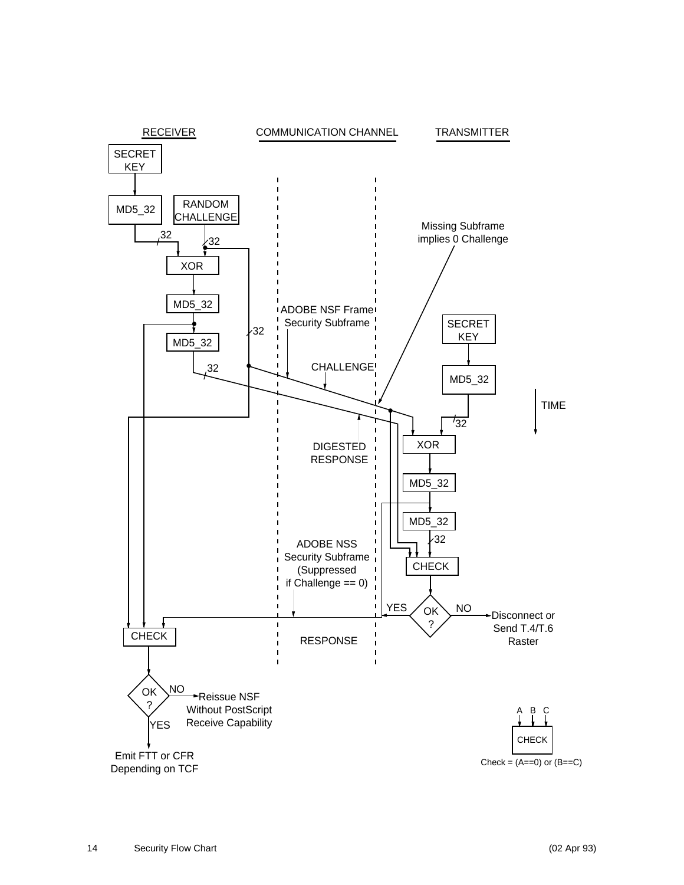